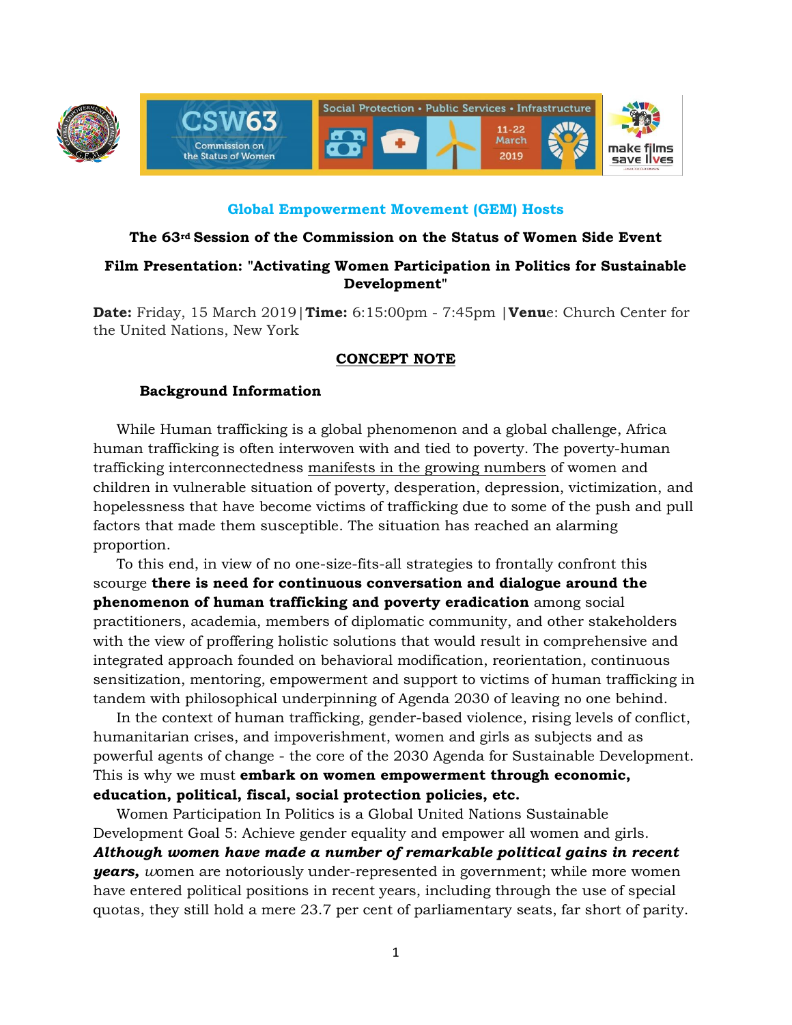

### **Global Empowerment Movement (GEM) Hosts**

### **The 63rd Session of the Commission on the Status of Women Side Event**

# **Film Presentation: "Activating Women Participation in Politics for Sustainable Development"**

**Date:** Friday, 15 March 2019|**Time:** 6:15:00pm - 7:45pm |**Venu**e: Church Center for the United Nations, New York

## **CONCEPT NOTE**

### **Background Information**

While Human trafficking is a global phenomenon and a global challenge, Africa human trafficking is often interwoven with and tied to poverty. The poverty-human trafficking interconnectedness manifests in the growing numbers of women and children in vulnerable situation of poverty, desperation, depression, victimization, and hopelessness that have become victims of trafficking due to some of the push and pull factors that made them susceptible. The situation has reached an alarming proportion.

To this end, in view of no one-size-fits-all strategies to frontally confront this scourge **there is need for continuous conversation and dialogue around the phenomenon of human trafficking and poverty eradication** among social practitioners, academia, members of diplomatic community, and other stakeholders with the view of proffering holistic solutions that would result in comprehensive and integrated approach founded on behavioral modification, reorientation, continuous sensitization, mentoring, empowerment and support to victims of human trafficking in tandem with philosophical underpinning of Agenda 2030 of leaving no one behind.

In the context of human trafficking, gender-based violence, rising levels of conflict, humanitarian crises, and impoverishment, women and girls as subjects and as powerful agents of change - the core of the 2030 Agenda for Sustainable Development. This is why we must **embark on women empowerment through economic, education, political, fiscal, social protection policies, etc.**

Women Participation In Politics is a Global United Nations Sustainable Development Goal 5: Achieve gender equality and empower all women and girls. *Although women have made a number of remarkable political gains in recent years, women are notoriously under-represented in government; while more women* have entered political positions in recent years, including through the use of special quotas, they still hold a mere 23.7 per cent of parliamentary seats, far short of parity.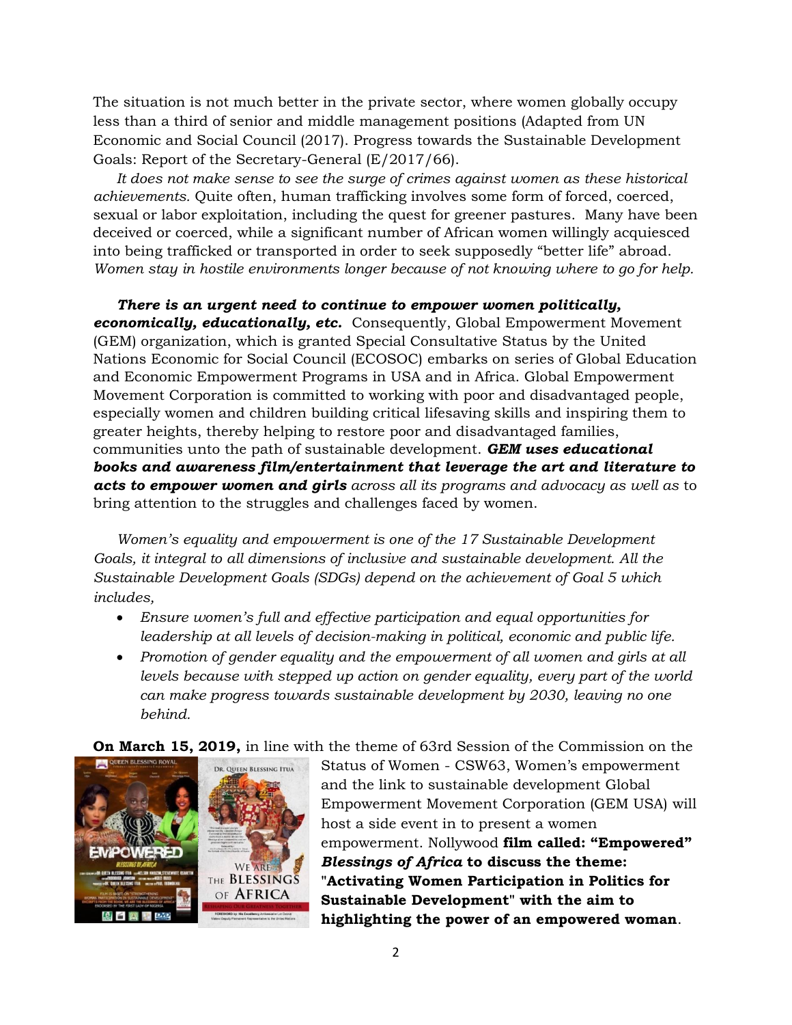The situation is not much better in the private sector, where women globally occupy less than a third of senior and middle management positions (Adapted from UN Economic and Social Council (2017). Progress towards the Sustainable Development Goals: Report of the Secretary-General (E/2017/66).

It does not make sense to see the surge of crimes against women as these historical *achievements.* Quite often, human trafficking involves some form of forced, coerced, sexual or labor exploitation, including the quest for greener pastures. Many have been deceived or coerced, while a significant number of African women willingly acquiesced into being trafficked or transported in order to seek supposedly "better life" abroad. *Women stay in hostile environments longer because of not knowing where to go for help.* 

*There is an urgent need to continue to empower women politically, economically, educationally, etc.* Consequently, Global Empowerment Movement (GEM) organization, which is granted Special Consultative Status by the United Nations Economic for Social Council (ECOSOC) embarks on series of Global Education and Economic Empowerment Programs in USA and in Africa. Global Empowerment Movement Corporation is committed to working with poor and disadvantaged people, especially women and children building critical lifesaving skills and inspiring them to greater heights, thereby helping to restore poor and disadvantaged families, communities unto the path of sustainable development. *GEM uses educational books and awareness film/entertainment that leverage the art and literature to acts to empower women and girls across all its programs and advocacy as well as* to bring attention to the struggles and challenges faced by women.

*Women's equality and empowerment is one of the 17 Sustainable Development Goals, it integral to all dimensions of inclusive and sustainable development. All the Sustainable Development Goals (SDGs) depend on the achievement of Goal 5 which includes,*

- *Ensure women's full and effective participation and equal opportunities for leadership at all levels of decision-making in political, economic and public life.*
- *Promotion of gender equality and the empowerment of all women and girls at all levels because with stepped up action on gender equality, every part of the world can make progress towards sustainable development by 2030, leaving no one behind.*

**On March 15, 2019,** in line with the theme of 63rd Session of the Commission on the



Status of Women - CSW63, Women's empowerment and the link to sustainable development Global Empowerment Movement Corporation (GEM USA) will host a side event in to present a women empowerment. Nollywood **film called: "Empowered"**  *Blessings of Africa* **to discuss the theme: "Activating Women Participation in Politics for Sustainable Development" with the aim to highlighting the power of an empowered woman**.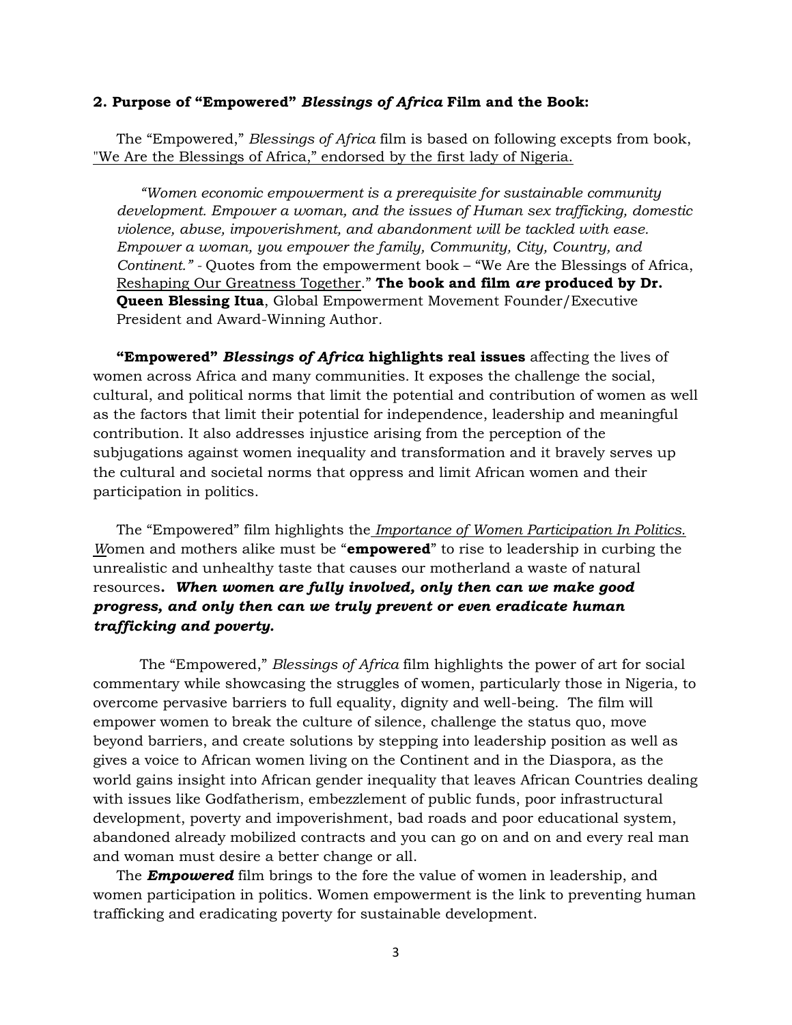#### **2. Purpose of "Empowered"** *Blessings of Africa* **Film and the Book:**

The "Empowered," *Blessings of Africa* film is based on following excepts from book, "We Are the Blessings of Africa," endorsed by the first lady of Nigeria.

*"Women economic empowerment is a prerequisite for sustainable community development. Empower a woman, and the issues of Human sex trafficking, domestic violence, abuse, impoverishment, and abandonment will be tackled with ease. Empower a woman, you empower the family, Community, City, Country, and Continent." -* Quotes from the empowerment book – "We Are the Blessings of Africa, Reshaping Our Greatness Together." **The book and film** *are* **produced by Dr. Queen Blessing Itua**, Global Empowerment Movement Founder/Executive President and Award-Winning Author*.*

**"Empowered"** *Blessings of Africa* **highlights real issues** affecting the lives of women across Africa and many communities. It exposes the challenge the social, cultural, and political norms that limit the potential and contribution of women as well as the factors that limit their potential for independence, leadership and meaningful contribution. It also addresses injustice arising from the perception of the subjugations against women inequality and transformation and it bravely serves up the cultural and societal norms that oppress and limit African women and their participation in politics.

The "Empowered" film highlights the *Importance of Women Participation In Politics. W*omen and mothers alike must be "**empowered**" to rise to leadership in curbing the unrealistic and unhealthy taste that causes our motherland a waste of natural resources**.** *When women are fully involved, only then can we make good progress, and only then can we truly prevent or even eradicate human trafficking and poverty.*

The "Empowered," *Blessings of Africa* film highlights the power of art for social commentary while showcasing the struggles of women, particularly those in Nigeria, to overcome pervasive barriers to full equality, dignity and well-being. The film will empower women to break the culture of silence, challenge the status quo, move beyond barriers, and create solutions by stepping into leadership position as well as gives a voice to African women living on the Continent and in the Diaspora, as the world gains insight into African gender inequality that leaves African Countries dealing with issues like Godfatherism, embezzlement of public funds, poor infrastructural development, poverty and impoverishment, bad roads and poor educational system, abandoned already mobilized contracts and you can go on and on and every real man and woman must desire a better change or all.

The *Empowered* film brings to the fore the value of women in leadership, and women participation in politics. Women empowerment is the link to preventing human trafficking and eradicating poverty for sustainable development.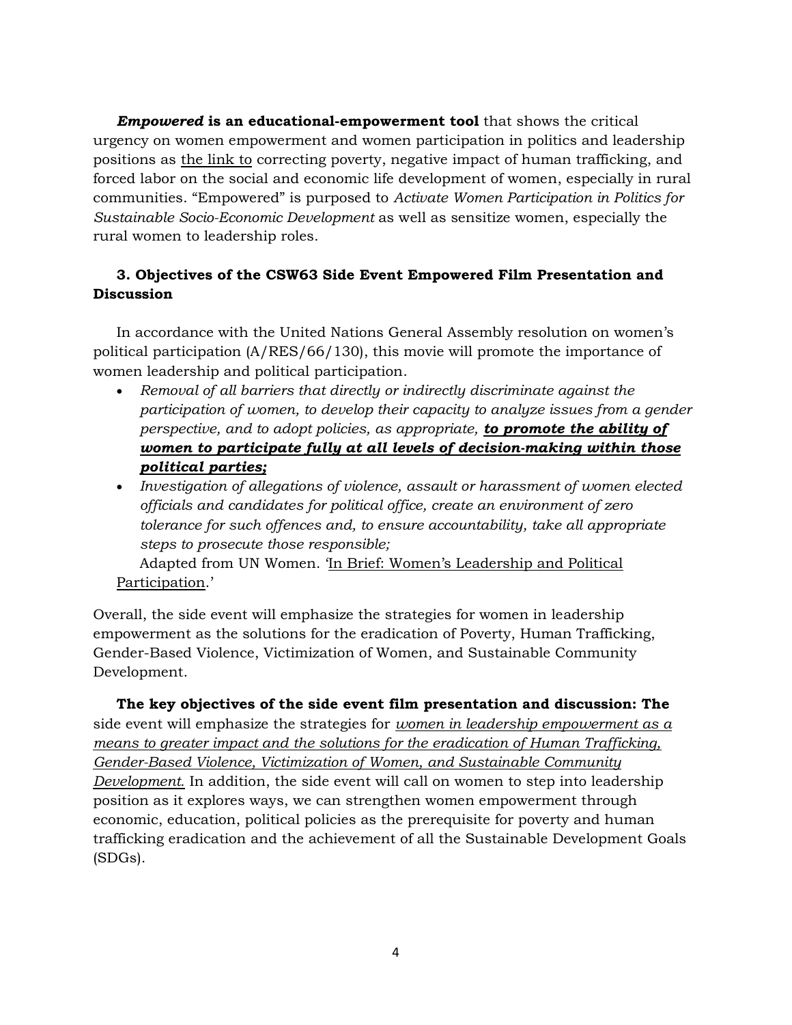*Empowered* **is an educational-empowerment tool** that shows the critical urgency on women empowerment and women participation in politics and leadership positions as the link to correcting poverty, negative impact of human trafficking, and forced labor on the social and economic life development of women, especially in rural communities. "Empowered" is purposed to *Activate Women Participation in Politics for Sustainable Socio-Economic Development* as well as sensitize women, especially the rural women to leadership roles.

# **3. Objectives of the CSW63 Side Event Empowered Film Presentation and Discussion**

In accordance with the United Nations General Assembly resolution on women's political participation (A/RES/66/130), this movie will promote the importance of women leadership and political participation.

- *Removal of all barriers that directly or indirectly discriminate against the participation of women, to develop their capacity to analyze issues from a gender perspective, and to adopt policies, as appropriate, to promote the ability of women to participate fully at all levels of decision-making within those political parties;*
- *Investigation of allegations of violence, assault or harassment of women elected officials and candidates for political office, create an environment of zero tolerance for such offences and, to ensure accountability, take all appropriate steps to prosecute those responsible;*

Adapted from UN Women. 'In Brief: Women's Leadership and Political Participation.'

Overall, the side event will emphasize the strategies for women in leadership empowerment as the solutions for the eradication of Poverty, Human Trafficking, Gender-Based Violence, Victimization of Women, and Sustainable Community Development.

**The key objectives of the side event film presentation and discussion: The**  side event will emphasize the strategies for *women in leadership empowerment as a means to greater impact and the solutions for the eradication of Human Trafficking, Gender-Based Violence, Victimization of Women, and Sustainable Community Development.* In addition, the side event will call on women to step into leadership position as it explores ways, we can strengthen women empowerment through economic, education, political policies as the prerequisite for poverty and human trafficking eradication and the achievement of all the Sustainable Development Goals (SDGs).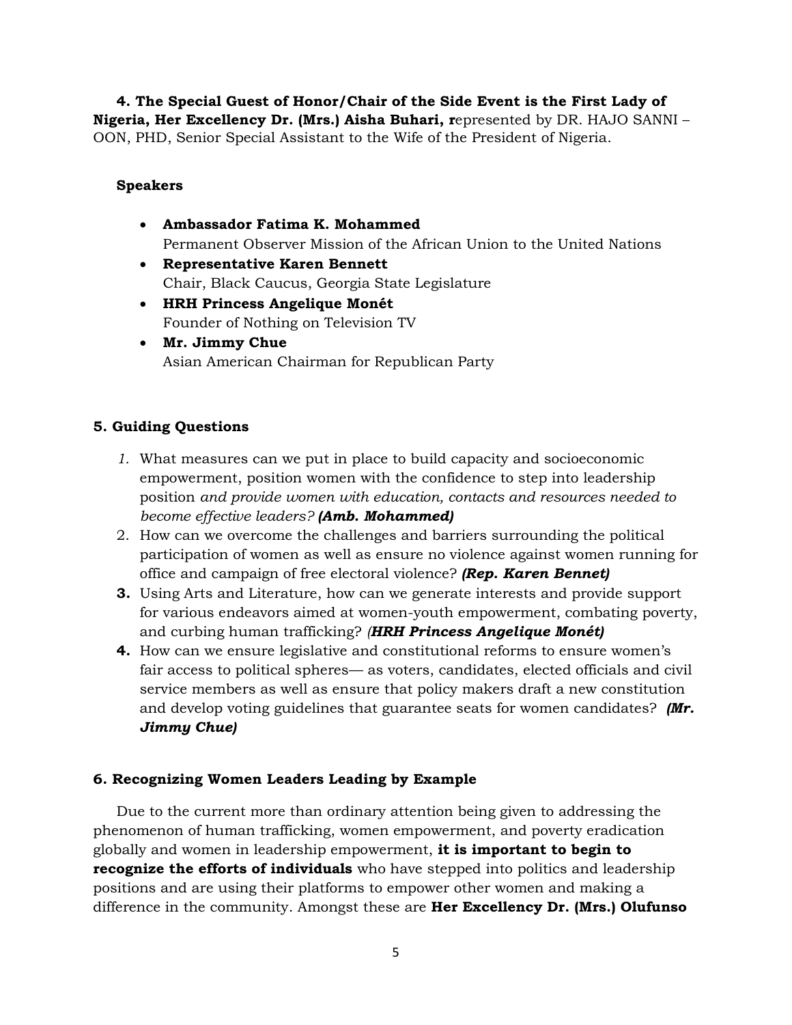**4. The Special Guest of Honor/Chair of the Side Event is the First Lady of Nigeria, Her Excellency Dr. (Mrs.) Aisha Buhari, r**epresented by DR. HAJO SANNI – OON, PHD, Senior Special Assistant to the Wife of the President of Nigeria.

### **Speakers**

- **Ambassador Fatima K. Mohammed**  Permanent Observer Mission of the African Union to the United Nations
- **Representative Karen Bennett** Chair, Black Caucus, Georgia State Legislature
- **HRH Princess Angelique Monét** Founder of Nothing on Television TV
- **Mr. Jimmy Chue** Asian American Chairman for Republican Party

## **5. Guiding Questions**

- *1.* What measures can we put in place to build capacity and socioeconomic empowerment, position women with the confidence to step into leadership position *and provide women with education, contacts and resources needed to become effective leaders? (Amb. Mohammed)*
- 2. How can we overcome the challenges and barriers surrounding the political participation of women as well as ensure no violence against women running for office and campaign of free electoral violence? *(Rep. Karen Bennet)*
- **3.** Using Arts and Literature, how can we generate interests and provide support for various endeavors aimed at women-youth empowerment, combating poverty, and curbing human trafficking? *(HRH Princess Angelique Monét)*
- **4.** How can we ensure legislative and constitutional reforms to ensure women's fair access to political spheres— as voters, candidates, elected officials and civil service members as well as ensure that policy makers draft a new constitution and develop voting guidelines that guarantee seats for women candidates? *(Mr. Jimmy Chue)*

# **6. Recognizing Women Leaders Leading by Example**

Due to the current more than ordinary attention being given to addressing the phenomenon of human trafficking, women empowerment, and poverty eradication globally and women in leadership empowerment, **it is important to begin to recognize the efforts of individuals** who have stepped into politics and leadership positions and are using their platforms to empower other women and making a difference in the community. Amongst these are **Her Excellency Dr. (Mrs.) Olufunso**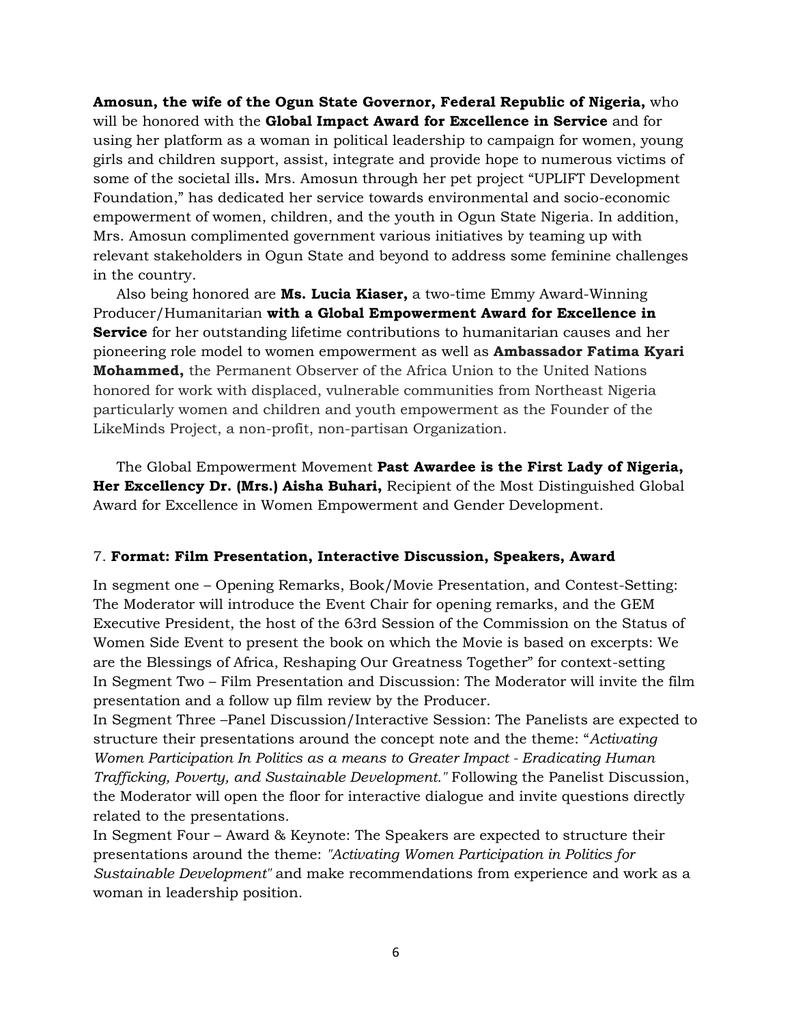**Amosun, the wife of the Ogun State Governor, Federal Republic of Nigeria,** who will be honored with the **Global Impact Award for Excellence in Service** and for using her platform as a woman in political leadership to campaign for women, young girls and children support, assist, integrate and provide hope to numerous victims of some of the societal ills**.** Mrs. Amosun through her pet project "UPLIFT Development Foundation," has dedicated her service towards environmental and socio-economic empowerment of women, children, and the youth in Ogun State Nigeria. In addition, Mrs. Amosun complimented government various initiatives by teaming up with relevant stakeholders in Ogun State and beyond to address some feminine challenges in the country.

Also being honored are **Ms. Lucia Kiaser,** a two-time Emmy Award-Winning Producer/Humanitarian **with a Global Empowerment Award for Excellence in Service** for her outstanding lifetime contributions to humanitarian causes and her pioneering role model to women empowerment as well as **Ambassador Fatima Kyari Mohammed,** the Permanent Observer of the Africa Union to the United Nations honored for work with displaced, vulnerable communities from Northeast Nigeria particularly women and children and youth empowerment as the Founder of the LikeMinds Project, a non-profit, non-partisan Organization.

The Global Empowerment Movement **Past Awardee is the First Lady of Nigeria, Her Excellency Dr. (Mrs.) Aisha Buhari,** Recipient of the Most Distinguished Global Award for Excellence in Women Empowerment and Gender Development.

#### 7. **Format: Film Presentation, Interactive Discussion, Speakers, Award**

In segment one – Opening Remarks, Book/Movie Presentation, and Contest-Setting: The Moderator will introduce the Event Chair for opening remarks, and the GEM Executive President, the host of the 63rd Session of the Commission on the Status of Women Side Event to present the book on which the Movie is based on excerpts: We are the Blessings of Africa, Reshaping Our Greatness Together" for context-setting In Segment Two – Film Presentation and Discussion: The Moderator will invite the film presentation and a follow up film review by the Producer.

In Segment Three –Panel Discussion/Interactive Session: The Panelists are expected to structure their presentations around the concept note and the theme: "*Activating Women Participation In Politics as a means to Greater Impact - Eradicating Human Trafficking, Poverty, and Sustainable Development."* Following the Panelist Discussion, the Moderator will open the floor for interactive dialogue and invite questions directly related to the presentations.

In Segment Four – Award & Keynote: The Speakers are expected to structure their presentations around the theme: *"Activating Women Participation in Politics for Sustainable Development"* and make recommendations from experience and work as a woman in leadership position.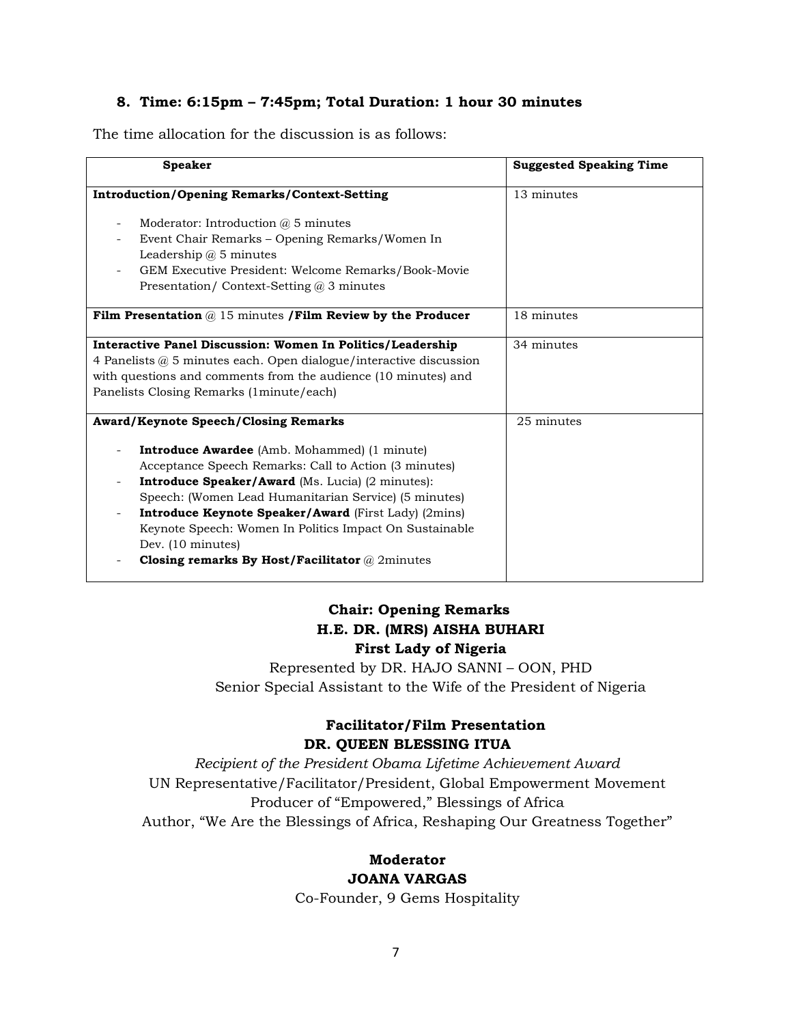### **8. Time: 6:15pm – 7:45pm; Total Duration: 1 hour 30 minutes**

The time allocation for the discussion is as follows:

| <b>Speaker</b>                                                                                                                                                                                                                                                                                                                                                                                                                                                              | <b>Suggested Speaking Time</b> |
|-----------------------------------------------------------------------------------------------------------------------------------------------------------------------------------------------------------------------------------------------------------------------------------------------------------------------------------------------------------------------------------------------------------------------------------------------------------------------------|--------------------------------|
| <b>Introduction/Opening Remarks/Context-Setting</b>                                                                                                                                                                                                                                                                                                                                                                                                                         | 13 minutes                     |
| Moderator: Introduction $\omega$ 5 minutes<br>Event Chair Remarks – Opening Remarks/Women In<br>Leadership $\omega$ 5 minutes<br>GEM Executive President: Welcome Remarks/Book-Movie<br>Presentation/ Context-Setting $\omega$ 3 minutes                                                                                                                                                                                                                                    |                                |
| Film Presentation $@15$ minutes /Film Review by the Producer                                                                                                                                                                                                                                                                                                                                                                                                                | 18 minutes                     |
| Interactive Panel Discussion: Women In Politics/Leadership<br>4 Panelists $@$ 5 minutes each. Open dialogue/interactive discussion<br>with questions and comments from the audience (10 minutes) and<br>Panelists Closing Remarks (1minute/each)                                                                                                                                                                                                                            | 34 minutes                     |
| <b>Award/Keynote Speech/Closing Remarks</b><br><b>Introduce Awardee</b> (Amb. Mohammed) (1 minute)<br>Acceptance Speech Remarks: Call to Action (3 minutes)<br><b>Introduce Speaker/Award</b> (Ms. Lucia) (2 minutes):<br>Speech: (Women Lead Humanitarian Service) (5 minutes)<br>Introduce Keynote Speaker/Award (First Lady) (2mins)<br>Keynote Speech: Women In Politics Impact On Sustainable<br>Dev. (10 minutes)<br>Closing remarks By Host/Facilitator $@$ 2minutes | 25 minutes                     |

# **Chair: Opening Remarks H.E. DR. (MRS) AISHA BUHARI First Lady of Nigeria**

Represented by DR. HAJO SANNI – OON, PHD Senior Special Assistant to the Wife of the President of Nigeria

# **Facilitator/Film Presentation DR. QUEEN BLESSING ITUA**

*Recipient of the President Obama Lifetime Achievement Award* UN Representative/Facilitator/President, Global Empowerment Movement Producer of "Empowered," Blessings of Africa Author, "We Are the Blessings of Africa, Reshaping Our Greatness Together"

# **Moderator JOANA VARGAS**

Co-Founder, 9 Gems Hospitality